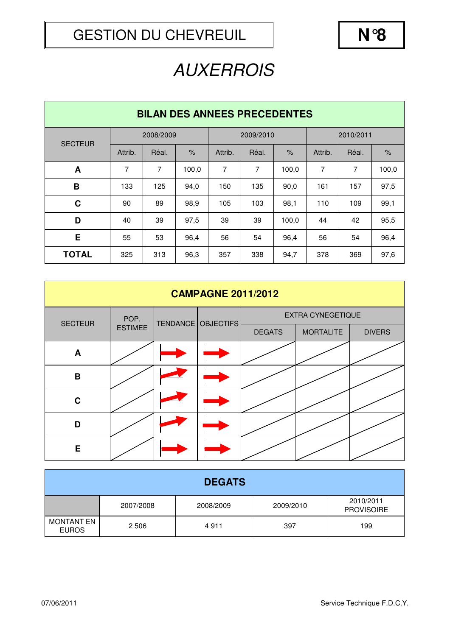| <b>BILAN DES ANNEES PRECEDENTES</b> |           |       |               |           |       |       |           |       |       |  |
|-------------------------------------|-----------|-------|---------------|-----------|-------|-------|-----------|-------|-------|--|
| <b>SECTEUR</b>                      | 2008/2009 |       |               | 2009/2010 |       |       | 2010/2011 |       |       |  |
|                                     | Attrib.   | Réal. | $\frac{9}{6}$ | Attrib.   | Réal. | $\%$  | Attrib.   | Réal. | $\%$  |  |
| A                                   | 7         | 7     | 100,0         | 7         | 7     | 100,0 | 7         | 7     | 100,0 |  |
| B                                   | 133       | 125   | 94,0          | 150       | 135   | 90,0  | 161       | 157   | 97,5  |  |
| $\mathbf c$                         | 90        | 89    | 98,9          | 105       | 103   | 98,1  | 110       | 109   | 99,1  |  |
| D                                   | 40        | 39    | 97.5          | 39        | 39    | 100,0 | 44        | 42    | 95,5  |  |
| Е                                   | 55        | 53    | 96,4          | 56        | 54    | 96,4  | 56        | 54    | 96,4  |  |
| <b>TOTAL</b>                        | 325       | 313   | 96,3          | 357       | 338   | 94,7  | 378       | 369   | 97,6  |  |

| <b>CAMPAGNE 2011/2012</b> |                |  |                    |                          |                  |               |  |  |  |
|---------------------------|----------------|--|--------------------|--------------------------|------------------|---------------|--|--|--|
| <b>SECTEUR</b>            | POP.           |  | TENDANCE OBJECTIFS | <b>EXTRA CYNEGETIQUE</b> |                  |               |  |  |  |
|                           | <b>ESTIMEE</b> |  |                    | <b>DEGATS</b>            | <b>MORTALITE</b> | <b>DIVERS</b> |  |  |  |
| A                         |                |  |                    |                          |                  |               |  |  |  |
| B                         |                |  |                    |                          |                  |               |  |  |  |
| $\mathbf C$               |                |  |                    |                          |                  |               |  |  |  |
| D                         |                |  |                    |                          |                  |               |  |  |  |
| E                         |                |  |                    |                          |                  |               |  |  |  |

| <b>DEGATS</b>                     |           |           |           |                                |  |  |  |  |
|-----------------------------------|-----------|-----------|-----------|--------------------------------|--|--|--|--|
|                                   | 2007/2008 | 2008/2009 | 2009/2010 | 2010/2011<br><b>PROVISOIRE</b> |  |  |  |  |
| <b>MONTANT EN</b><br><b>EUROS</b> | 2 5 0 6   | 4911      | 397       | 199                            |  |  |  |  |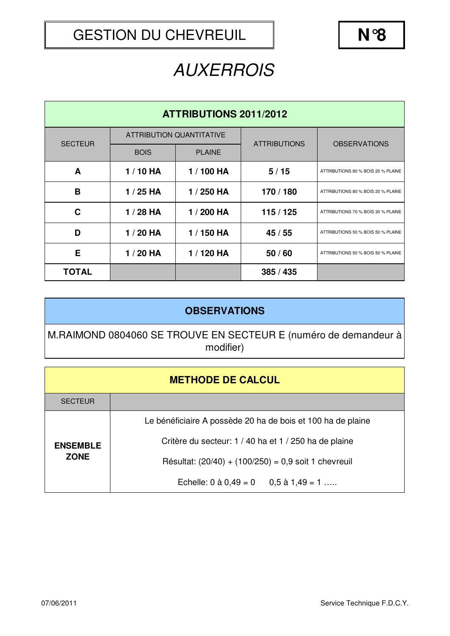| <b>ATTRIBUTIONS 2011/2012</b> |             |                                 |                     |                                    |  |  |  |
|-------------------------------|-------------|---------------------------------|---------------------|------------------------------------|--|--|--|
| <b>SECTEUR</b>                |             | <b>ATTRIBUTION QUANTITATIVE</b> | <b>ATTRIBUTIONS</b> | <b>OBSERVATIONS</b>                |  |  |  |
|                               | <b>BOIS</b> | <b>PLAINE</b>                   |                     |                                    |  |  |  |
| A                             | $1/10$ HA   | 1 / 100 HA                      | 5/15                | ATTRIBUTIONS 80 % BOIS 20 % PLAINE |  |  |  |
| B                             | $1/25$ HA   | 1 / 250 HA                      | 170 / 180           | ATTRIBUTIONS 80 % BOIS 20 % PLAINE |  |  |  |
| C                             | $1/28$ HA   | 1 / 200 HA                      | 115/125             | ATTRIBUTIONS 70 % BOIS 30 % PLAINE |  |  |  |
| D                             | $1/20$ HA   | 1 / 150 HA                      | 45 / 55             | ATTRIBUTIONS 50 % BOIS 50 % PLAINE |  |  |  |
| Е                             | $1/20$ HA   | 1 / 120 HA                      | 50/60               | ATTRIBUTIONS 50 % BOIS 50 % PLAINE |  |  |  |
| <b>TOTAL</b>                  |             |                                 | 385 / 435           |                                    |  |  |  |

#### **OBSERVATIONS**

M.RAIMOND 0804060 SE TROUVE EN SECTEUR E (numéro de demandeur à modifier)

| <b>METHODE DE CALCUL</b> |  |  |
|--------------------------|--|--|
|--------------------------|--|--|

| <b>SECTEUR</b>                 |                                                             |  |  |  |  |  |
|--------------------------------|-------------------------------------------------------------|--|--|--|--|--|
| <b>ENSEMBLE</b><br><b>ZONE</b> | Le bénéficiaire A possède 20 ha de bois et 100 ha de plaine |  |  |  |  |  |
|                                | Critère du secteur: 1 / 40 ha et 1 / 250 ha de plaine       |  |  |  |  |  |
|                                | Résultat: $(20/40) + (100/250) = 0.9$ soit 1 chevreuil      |  |  |  |  |  |
|                                | Echelle: $0$ à $0.49 = 0$ $0.5$ à $1.49 = 1$                |  |  |  |  |  |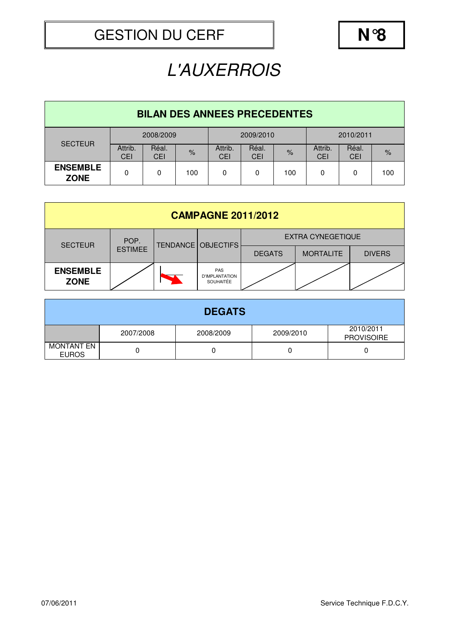## L'AUXERROIS

| <b>BILAN DES ANNEES PRECEDENTES</b> |                       |                     |      |                       |                     |               |                |                     |      |  |
|-------------------------------------|-----------------------|---------------------|------|-----------------------|---------------------|---------------|----------------|---------------------|------|--|
| <b>SECTEUR</b>                      | 2008/2009             |                     |      | 2009/2010             |                     |               | 2010/2011      |                     |      |  |
|                                     | Attrib.<br><b>CEI</b> | Réal.<br><b>CEI</b> | $\%$ | Attrib.<br><b>CEI</b> | Réal.<br><b>CEI</b> | $\frac{9}{6}$ | Attrib.<br>CEI | Réal.<br><b>CEI</b> | $\%$ |  |
| <b>ENSEMBLE</b><br><b>ZONE</b>      | 0                     | 0                   | 100  | 0                     | 0                   | 100           | 0              | 0                   | 100  |  |

| <b>CAMPAGNE 2011/2012</b>      |                |   |                                                  |                          |                  |               |  |  |  |
|--------------------------------|----------------|---|--------------------------------------------------|--------------------------|------------------|---------------|--|--|--|
| <b>SECTEUR</b>                 | POP.           |   | TENDANCE   OBJECTIFS                             | <b>EXTRA CYNEGETIQUE</b> |                  |               |  |  |  |
|                                | <b>ESTIMEE</b> |   |                                                  | <b>DEGATS</b>            | <b>MORTALITE</b> | <b>DIVERS</b> |  |  |  |
| <b>ENSEMBLE</b><br><b>ZONE</b> |                | ⊾ | PAS<br><b>D'IMPLANTATION</b><br><b>SOUHAITÉE</b> |                          |                  |               |  |  |  |

| <b>DEGATS</b>                     |           |           |           |                                |  |  |  |  |
|-----------------------------------|-----------|-----------|-----------|--------------------------------|--|--|--|--|
|                                   | 2007/2008 | 2008/2009 | 2009/2010 | 2010/2011<br><b>PROVISOIRE</b> |  |  |  |  |
| <b>MONTANT EN</b><br><b>EUROS</b> |           |           |           |                                |  |  |  |  |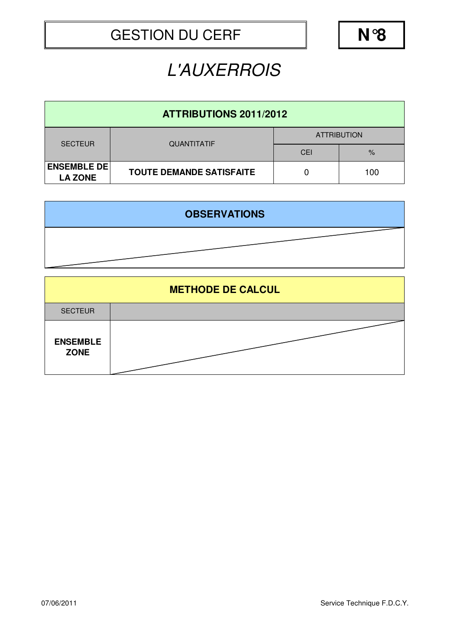#### L'AUXERROIS

| <b>ATTRIBUTIONS 2011/2012</b>        |                                 |                    |      |  |  |  |  |  |
|--------------------------------------|---------------------------------|--------------------|------|--|--|--|--|--|
| <b>SECTEUR</b>                       | <b>QUANTITATIF</b>              | <b>ATTRIBUTION</b> |      |  |  |  |  |  |
|                                      |                                 | CEI                | $\%$ |  |  |  |  |  |
| <b>ENSEMBLE DE</b><br><b>LA ZONE</b> | <b>TOUTE DEMANDE SATISFAITE</b> |                    | 100  |  |  |  |  |  |

| <b>OBSERVATIONS</b> |
|---------------------|
|                     |

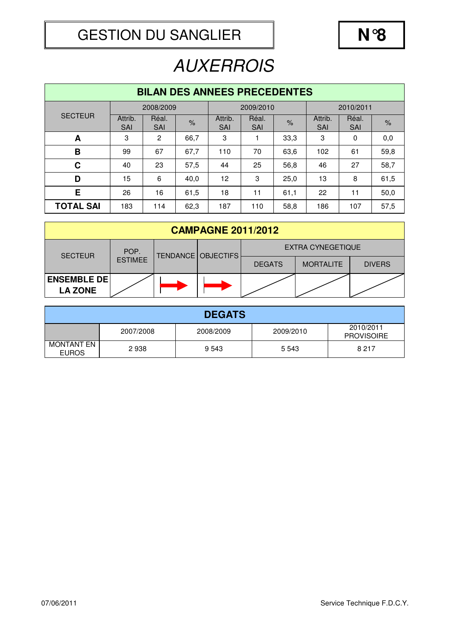| <b>BILAN DES ANNEES PRECEDENTES</b> |                       |                     |               |                       |                     |               |                       |                     |               |  |
|-------------------------------------|-----------------------|---------------------|---------------|-----------------------|---------------------|---------------|-----------------------|---------------------|---------------|--|
|                                     |                       | 2008/2009           |               | 2009/2010             |                     |               | 2010/2011             |                     |               |  |
| <b>SECTEUR</b>                      | Attrib.<br><b>SAI</b> | Réal.<br><b>SAI</b> | $\frac{9}{6}$ | Attrib.<br><b>SAI</b> | Réal.<br><b>SAI</b> | $\frac{9}{6}$ | Attrib.<br><b>SAI</b> | Réal.<br><b>SAI</b> | $\frac{9}{6}$ |  |
| A                                   | 3                     | 2                   | 66,7          | 3                     |                     | 33,3          | 3                     | 0                   | 0,0           |  |
| B                                   | 99                    | 67                  | 67,7          | 110                   | 70                  | 63,6          | 102                   | 61                  | 59,8          |  |
| $\mathbf C$                         | 40                    | 23                  | 57,5          | 44                    | 25                  | 56,8          | 46                    | 27                  | 58,7          |  |
| D                                   | 15                    | 6                   | 40,0          | 12                    | 3                   | 25,0          | 13                    | 8                   | 61,5          |  |
| E                                   | 26                    | 16                  | 61,5          | 18                    | 11                  | 61,1          | 22                    | 11                  | 50,0          |  |
| <b>TOTAL SAI</b>                    | 183                   | 114                 | 62,3          | 187                   | 110                 | 58,8          | 186                   | 107                 | 57,5          |  |

| <b>CAMPAGNE 2011/2012</b>            |                        |                      |  |                          |                  |               |  |  |
|--------------------------------------|------------------------|----------------------|--|--------------------------|------------------|---------------|--|--|
| <b>SECTEUR</b>                       | POP.<br><b>ESTIMEE</b> | TENDANCE   OBJECTIFS |  | <b>EXTRA CYNEGETIQUE</b> |                  |               |  |  |
|                                      |                        |                      |  | <b>DEGATS</b>            | <b>MORTALITE</b> | <b>DIVERS</b> |  |  |
| <b>ENSEMBLE DE</b><br><b>LA ZONE</b> |                        |                      |  |                          |                  |               |  |  |

| <b>DEGATS</b>              |           |           |           |                                |  |  |  |
|----------------------------|-----------|-----------|-----------|--------------------------------|--|--|--|
|                            | 2007/2008 | 2008/2009 | 2009/2010 | 2010/2011<br><b>PROVISOIRE</b> |  |  |  |
| MONTANT EN<br><b>EUROS</b> | 2938      | 9 5 4 3   | 5 5 4 3   | 8 2 1 7                        |  |  |  |